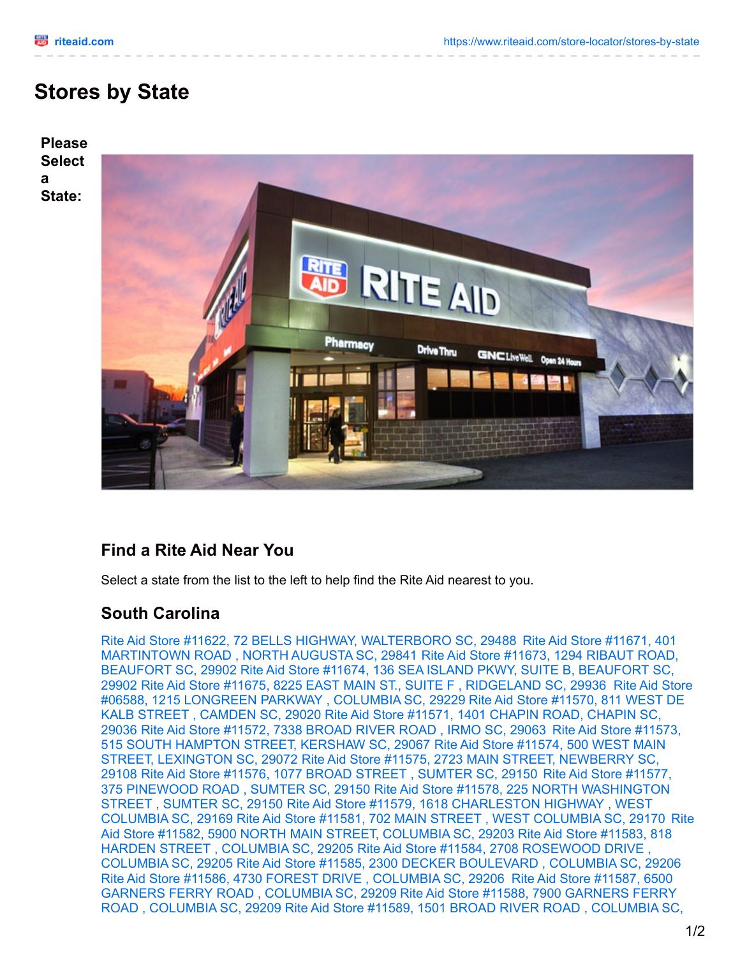**a**

## **Stores by State**



## **Find a Rite Aid Near You**

Select a state from the list to the left to help find the Rite Aid nearest to you.

## **South Carolina**

Rite Aid Store #11622, 72 BELLS HIGHWAY, [WALTERBORO](https://www.riteaid.com/store-details?storeNumber=11671) SC, 29488 Rite Aid Store #11671, 401 [MARTINTOWN](https://www.riteaid.com/store-details?storeNumber=11673) ROAD , NORTH AUGUSTA SC, 29841 Rite Aid Store #11673, 1294 RIBAUT ROAD, [BEAUFORT](https://www.riteaid.com/store-details?storeNumber=11674) SC, 29902 Rite Aid Store #11674, 136 SEA ISLAND PKWY, SUITE B, BEAUFORT SC, 29902 Rite Aid Store #11675, 8225 EAST MAIN ST., SUITE F , [RIDGELAND](https://www.riteaid.com/store-details?storeNumber=06588) SC, 29936 Rite Aid Store #06588, 1215 [LONGREEN](https://www.riteaid.com/store-details?storeNumber=11570) PARKWAY , COLUMBIA SC, 29229 Rite Aid Store #11570, 811 WEST DE KALB STREET , [CAMDEN](https://www.riteaid.com/store-details?storeNumber=11571) SC, 29020 Rite Aid Store #11571, 1401 CHAPIN ROAD, CHAPIN SC, 29036 Rite Aid Store #11572, 7338 [BROAD](https://www.riteaid.com/store-details?storeNumber=11572) RIVER ROAD , IRMO SC, 29063 Rite Aid Store #11573, 515 SOUTH [HAMPTON](https://www.riteaid.com/store-details?storeNumber=11573) STREET, KERSHAW SC, 29067 Rite Aid Store #11574, 500 WEST MAIN STREET, LEXINGTON SC, 29072 Rite Aid Store #11575, 2723 MAIN STREET, [NEWBERRY](https://www.riteaid.com/store-details?storeNumber=11575) SC, 29108 Rite Aid Store #11576, 1077 BROAD STREET , [SUMTER](https://www.riteaid.com/store-details?storeNumber=11576) SC, 29150 Rite Aid Store #11577, 375 PINEWOOD ROAD , SUMTER SC, 29150 Rite Aid Store #11578, 225 NORTH [WASHINGTO](https://www.riteaid.com/store-details?storeNumber=11578)[N](https://www.riteaid.com/store-details?storeNumber=11577) STREET , SUMTER SC, 29150 Rite Aid Store #11579, 1618 [CHARLESTON](https://www.riteaid.com/store-details?storeNumber=11579) HIGHWAY , WEST [COLUMBIA](https://www.riteaid.com/store-details?storeNumber=11582) SC, 29169 Rite Aid Store #11581, 702 MAIN STREET , WEST [COLUMBIA](https://www.riteaid.com/store-details?storeNumber=11581) SC, 29170 Rite Aid Store #11582, 5900 NORTH MAIN STREET, COLUMBIA SC, 29203 Rite Aid Store #11583, 818 HARDEN STREET , COLUMBIA SC, 29205 Rite Aid Store #11584, 2708 [ROSEWOOD](https://www.riteaid.com/store-details?storeNumber=11584) DRIVE , COLUMBIA SC, 29205 Rite Aid Store #11585, 2300 DECKER [BOULEVARD](https://www.riteaid.com/store-details?storeNumber=11585) , COLUMBIA SC, 29206 Rite Aid Store #11586, 4730 FOREST DRIVE , [COLUMBIA](https://www.riteaid.com/store-details?storeNumber=11587) SC, 29206 Rite Aid Store #11587, 6500 GARNERS FERRY ROAD , [COLUMBIA](https://www.riteaid.com/store-details?storeNumber=11588) SC, 29209 Rite Aid Store #11588, 7900 GARNERS FERRY ROAD , [COLUMBIA](https://www.riteaid.com/store-details?storeNumber=11589) SC, 29209 Rite Aid Store #11589, 1501 BROAD RIVER ROAD , COLUMBIA SC,